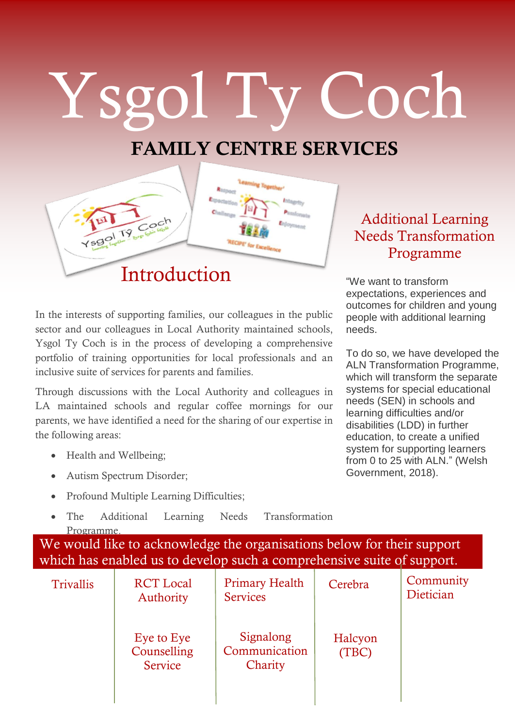## Ysgol Ty Coch

## **FAMILY CENTRE SERVICES**



In the interests of supporting families, our colleagues in the public<br>sector and our colleagues in Local Authority maintained schools, In the interests of supporting families, our colleagues in the public Ysgol Ty Coch is in the process of developing a comprehensive portfolio of training opportunities for local professionals and an inclusive suite of services for parents and families.

Through discussions with the Local Authority and colleagues in LA maintained schools and regular coffee mornings for our parents, we have identified a need for the sharing of our expertise in the following areas:

- Health and Wellbeing:
- Autism Spectrum Disorder;
- Profound Multiple Learning Difficulties;
- The Additional Learning Needs Transformation Programme.

We would like to acknowledge the organisations below for their support which has enabled us to develop such a comprehensive suite of support.

| <b>Trivallis</b> | <b>RCT</b> Local<br><b>Authority</b> | <b>Primary Health</b><br><b>Services</b> | Cerebra          | Community<br>Dietician |
|------------------|--------------------------------------|------------------------------------------|------------------|------------------------|
|                  | Eye to Eye<br>Counselling<br>Service | Signalong<br>Communication<br>Charity    | Halcyon<br>(TBC) |                        |

## Additional Learning Needs Transformation Programme

"We want to transform expectations, experiences and outcomes for children and young people with additional learning needs.

To do so, we have developed the ALN Transformation Programme, which will transform the separate systems for special educational needs (SEN) in schools and learning difficulties and/or disabilities (LDD) in further education, to create a unified system for supporting learners from 0 to 25 with ALN." (Welsh Government, 2018).